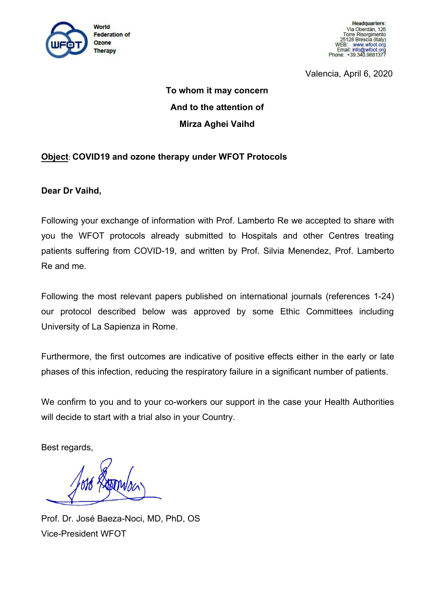

**Headquarters** Via Oberdán, 126 Torre Risorgimento 5128 Brescia (Italy) **WEB** www.wfoot.org Email: info@wfoot.org<br>Email: info@wfoot.org<br>Phone: +39.340.9881377

Valencia, April 6, 2020

# **To whom it may concern And to the attention of Mirza Aghei Vaihd**

## **Object**: **COVID19 and ozone therapy under WFOT Protocols**

**Dear Dr Vaihd,**

Following your exchange of information with Prof. Lamberto Re we accepted to share with you the WFOT protocols already submitted to Hospitals and other Centres treating patients suffering from COVID-19, and written by Prof. Silvia Menendez, Prof. Lamberto Re and me.

Following the most relevant papers published on international journals (references 1-24) our protocol described below was approved by some Ethic Committees including University of La Sapienza in Rome.

Furthermore, the first outcomes are indicative of positive effects either in the early or late phases of this infection, reducing the respiratory failure in a significant number of patients.

We confirm to you and to your co-workers our support in the case your Health Authorities will decide to start with a trial also in your Country.

Best regards,

Prof. Dr. José Baeza-Noci, MD, PhD, OS Vice-President WFOT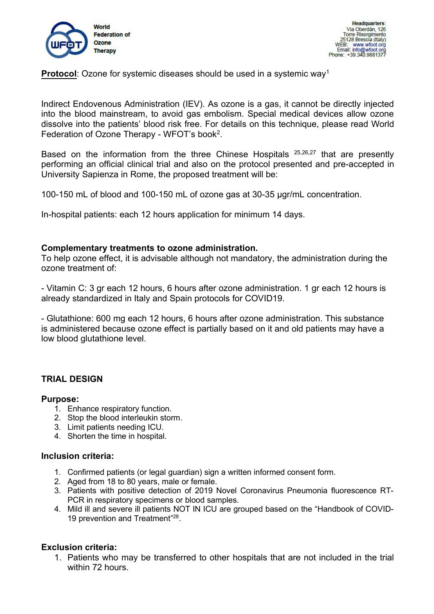

**Protocol**: Ozone for systemic diseases should be used in a systemic way<sup>1</sup>  $1 \quad \text{or} \quad \text{or} \quad \text{or} \quad \text{or} \quad \text{or} \quad \text{or} \quad \text{or} \quad \text{or} \quad \text{or} \quad \text{or} \quad \text{or} \quad \text{or} \quad \text{or} \quad \text{or} \quad \text{or} \quad \text{or} \quad \text{or} \quad \text{or} \quad \text{or} \quad \text{or} \quad \text{or} \quad \text{or} \quad \text{or} \quad \text{or} \quad \text{or} \quad \text{or} \quad \text{or} \quad \text{or} \quad \text{or} \quad \text{or} \quad \text{or} \quad$ 

Indirect Endovenous Administration (IEV). As ozone is a gas, it cannot be directly injected into the blood mainstream, to avoid gas embolism. Special medical devices allow ozone dissolve into the patients' blood risk free. For details on this technique, please read World Federation of Ozone Therapy - WFOT's book<sup>2</sup>. .

Based on the information from the three Chinese Hospitals <sup>25,26,27</sup> that are presently performing an official clinical trial and also on the protocol presented and pre-accepted in University Sapienza in Rome, the proposed treatment will be:

100-150 mL of blood and 100-150 mL of ozone gas at 30-35 µgr/mL concentration.

In-hospital patients: each 12 hours application for minimum 14 days.

### **Complementary treatments to ozone administration.**

To help ozone effect, it is advisable although not mandatory, the administration during the ozone treatment of:

- Vitamin C: 3 gr each 12 hours, 6 hours after ozone administration. 1 gr each 12 hours is already standardized in Italy and Spain protocols for COVID19.

- Glutathione: 600 mg each 12 hours, 6 hours after ozone administration. This substance is administered because ozone effect is partially based on it and old patients may have a low blood glutathione level.

## **TRIAL DESIGN**

#### **Purpose:**

- 1. Enhance respiratory function.
- 2. Stop the blood interleukin storm.
- 3. Limit patients needing ICU.
- 4. Shorten the time in hospital.

#### **Inclusion criteria:**

- 1. Confirmed patients (or legal guardian) sign a written informed consent form.
- 2. Aged from 18 to 80 years, male or female.
- 3. Patients with positive detection of 2019 Novel Coronavirus Pneumonia fluorescence RT- PCR in respiratory specimens or blood samples.
- 4. Mild ill and severe ill patients NOT IN ICU are grouped based on the "Handbook of COVID- 19 prevention and Treatment"<sup>28</sup>. .

#### **Exclusion criteria:**

1. Patients who may be transferred to other hospitals that are not included in the trial within 72 hours.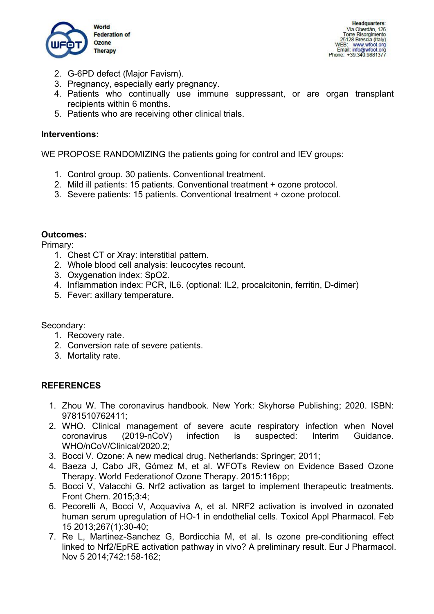

**Headquarters** Via Oberdán, 126 Torre Risorgimento 25128 Brescia (Italy) WEB: www.wfoot.org<br>Email: info@wfoot.org<br>Phone: +39.340.9881377

- 2. G-6PD defect (Major Favism).
- 3. Pregnancy, especially early pregnancy.
- 4. Patients who continually use immune suppressant, or are organ transplant recipients within 6 months.
- 5. Patients who are receiving other clinical trials.

## **Interventions:**

WE PROPOSE RANDOMIZING the patients going for control and IEV groups:

- 1. Control group. 30 patients. Conventional treatment.
- 2. Mild ill patients: 15 patients. Conventional treatment + ozone protocol.
- 3. Severe patients: 15 patients. Conventional treatment + ozone protocol.

## **Outcomes:**

Primary:

- 1. Chest CT or Xray: interstitial pattern.
- 2. Whole blood cell analysis: leucocytes recount.
- 3. Oxygenation index: SpO2.
- 4. Inflammation index: PCR, IL6. (optional: IL2, procalcitonin, ferritin, D-dimer)
- 5. Fever: axillary temperature.

Secondary:

- 1. Recovery rate.
- 2. Conversion rate of severe patients.
- 3. Mortality rate.

## **REFERENCES**

- 1. Zhou W. The coronavirus handbook. New York: Skyhorse Publishing; 2020. ISBN: 9781510762411;
- 2. WHO. Clinical management of severe acute respiratory infection when Novel coronavirus (2019-nCoV) infection is suspected: Interim Guidance. WHO/nCoV/Clinical/2020.2;
- 3. Bocci V. Ozone: A new medical drug. Netherlands: Springer; 2011;
- 4. Baeza J, Cabo JR, Gómez M, et al. WFOTs Review on Evidence Based Ozone Therapy. World Federationof Ozone Therapy. 2015:116pp;
- 5. Bocci V, Valacchi G. Nrf2 activation as target to implement therapeutic treatments. Front Chem. 2015;3:4;
- 6. Pecorelli A, Bocci V, Acquaviva A, et al. NRF2 activation is involved in ozonated human serum upregulation of HO-1 in endothelial cells. Toxicol Appl Pharmacol. Feb 15 2013;267(1):30-40;
- 7. Re L, Martinez-Sanchez G, Bordicchia M, et al. Is ozone pre-conditioning effect linked to Nrf2/EpRE activation pathway in vivo? A preliminary result. Eur J Pharmacol. Nov 5 2014;742:158-162;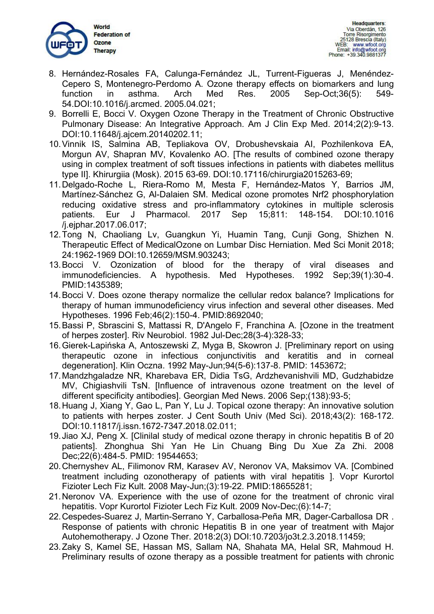

- 8. Hernández-Rosales FA, Calunga-Fernández JL, Turrent-Figueras J, Menéndez- Cepero S, Montenegro-Perdomo A. Ozone therapy effects on biomarkers and lung function in asthma. Arch Med Res. 2005 Sep-Oct;36(5): 549- 54.DOI:10.1016/j.arcmed. 2005.04.021;
- 9. Borrelli E, Bocci V. Oxygen Ozone Therapy in the Treatment of Chronic Obstructive Pulmonary Disease: An Integrative Approach. Am J Clin Exp Med. 2014:2(2):9-13. DOI:10.11648/j.ajcem.20140202.11;
- 10.Vinnik IS, Salmina AB, Tepliakova OV, Drobushevskaia AI, Pozhilenkova EA, Morgun AV, Shapran MV, Kovalenko AO. [The results of combined ozone therapy using in complex treatment of soft tissues infections in patients with diabetes mellitus type II]. Khirurgiia (Mosk). 2015 63-69. DOI:10.17116/chirurgia2015263-69;
- 11.Delgado-Roche L, Riera-Romo M, Mesta F, Hernández-Matos Y, Barrios JM, Martínez-Sánchez G, Al-Dalaien SM. Medical ozone promotes Nrf2 phosphorylation reducing oxidative stress and pro-inflammatory cytokines in multiple sclerosis patients. Eur J Pharmacol. 2017 Sep 15;811: 148-154. DOI:10.1016 /j.ejphar.2017.06.017;
- 12.Tong N, Chaoliang Lv, Guangkun Yi, Huamin Tang, Cunji Gong, Shizhen N. Therapeutic Effect of MedicalOzone on Lumbar Disc Herniation. Med Sci Monit 2018; 24:1962-1969 DOI:10.12659/MSM.903243;
- 13.Bocci V. Ozonization of blood for the therapy of viral diseases and immunodeficiencies. A hypothesis. Med Hypotheses. 1992 Sep;39(1):30-4. PMID:1435389;
- 14.Bocci V. Does ozone therapy normalize the cellular redox balance? Implications for therapy of human immunodeficiency virus infection and several other diseases. Med Hypotheses. 1996 Feb;46(2):150-4. PMID:8692040;
- 15.Bassi P, Sbrascini S, Mattassi R, D'Angelo F, Franchina A. [Ozone in the treatment of herpes zoster]. Riv Neurobiol. 1982 Jul-Dec;28(3-4):328-33;
- 16.Gierek-Lapińska A, Antoszewski Z, Myga B, Skowron J. [Preliminary report on using therapeutic ozone in infectious conjunctivitis and keratitis and in corneal degeneration]. Klin Oczna. 1992 May-Jun;94(5-6):137-8. PMID: 1453672;
- 17.Mandzhgaladze NR, Kharebava ER, Didia TsG, Ardzhevanishvili MD, Gudzhabidze MV, Chigiashvili TsN. [Influence of intravenous ozone treatment on the level of different specificity antibodies]. Georgian Med News.2006 Sep;(138):93-5;
- 18.Huang J, Xiang Y, Gao L, Pan Y, Lu J. Topical ozone therapy: An innovative solution to patients with herpes zoster. J Cent South Univ (Med Sci). 2018;43(2): 168-172. DOI:10.11817/j.issn.1672-7347.2018.02.011;
- 19.Jiao XJ, Peng X. [Clinilal study of medical ozone therapy in chronic hepatitis B of 20 patients]. Zhonghua Shi Yan He Lin Chuang Bing Du Xue Za Zhi. 2008 Dec;22(6):484-5. PMID: 19544653;
- 20.Chernyshev AL, Filimonov RM, Karasev AV, Neronov VA, Maksimov VA. [Combined treatment including ozonotherapy of patients with viral hepatitis ]. Vopr Kurortol Fizioter Lech Fiz Kult. 2008 May-Jun;(3):19-22. PMID:18655281;
- 21. Neronov VA. Experience with the use of ozone for the treatment of chronic viral hepatitis. Vopr Kurortol Fizioter Lech Fiz Kult. 2009 Nov-Dec;(6):14-7;
- 22.Cespedes-Suarez J, Martin-Serrano Y, Carballosa-Peña MR, Dager-Carballosa DR . Response of patients with chronic Hepatitis B in one year of treatment with Major Autohemotherapy. J Ozone Ther. 2018:2(3) DOI:10.7203/jo3t.2.3.2018.11459;
- 23.Zaky S, Kamel SE, Hassan MS, Sallam NA, Shahata MA, Helal SR, Mahmoud H. Preliminary results of ozone therapy as a possible treatment for patients with chronic